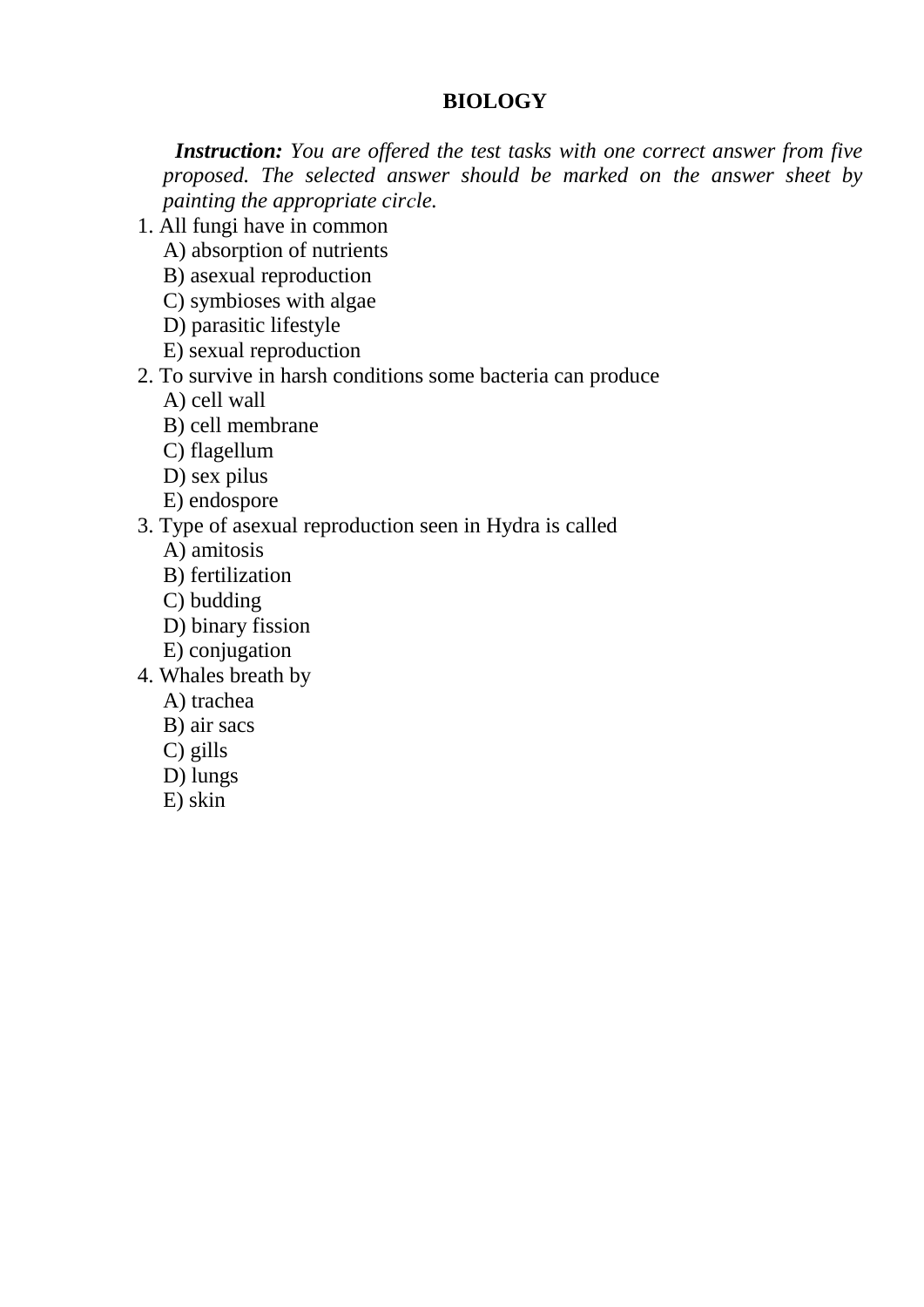## **BIOLOGY**

 *Instruction: You are offered the test tasks with one correct answer from five proposed. The selected answer should be marked on the answer sheet by painting the appropriate cirсle.*

- 1. All fungi have in common
	- A) absorption of nutrients
	- B) asexual reproduction
	- C) symbioses with algae
	- D) parasitic lifestyle
	- E) sexual reproduction
- 2. To survive in harsh conditions some bacteria can produce
	- A) cell wall
	- B) cell membrane
	- C) flagellum
	- D) sex pilus
	- E) endospore
- 3. Type of asexual reproduction seen in Hydra is called
	- A) amitosis
	- B) fertilization
	- C) budding
	- D) binary fission
	- E) conjugation
- 4. Whales breath by
	- A) trachea
	- B) air sacs
	- C) gills
	- D) lungs
	- E) skin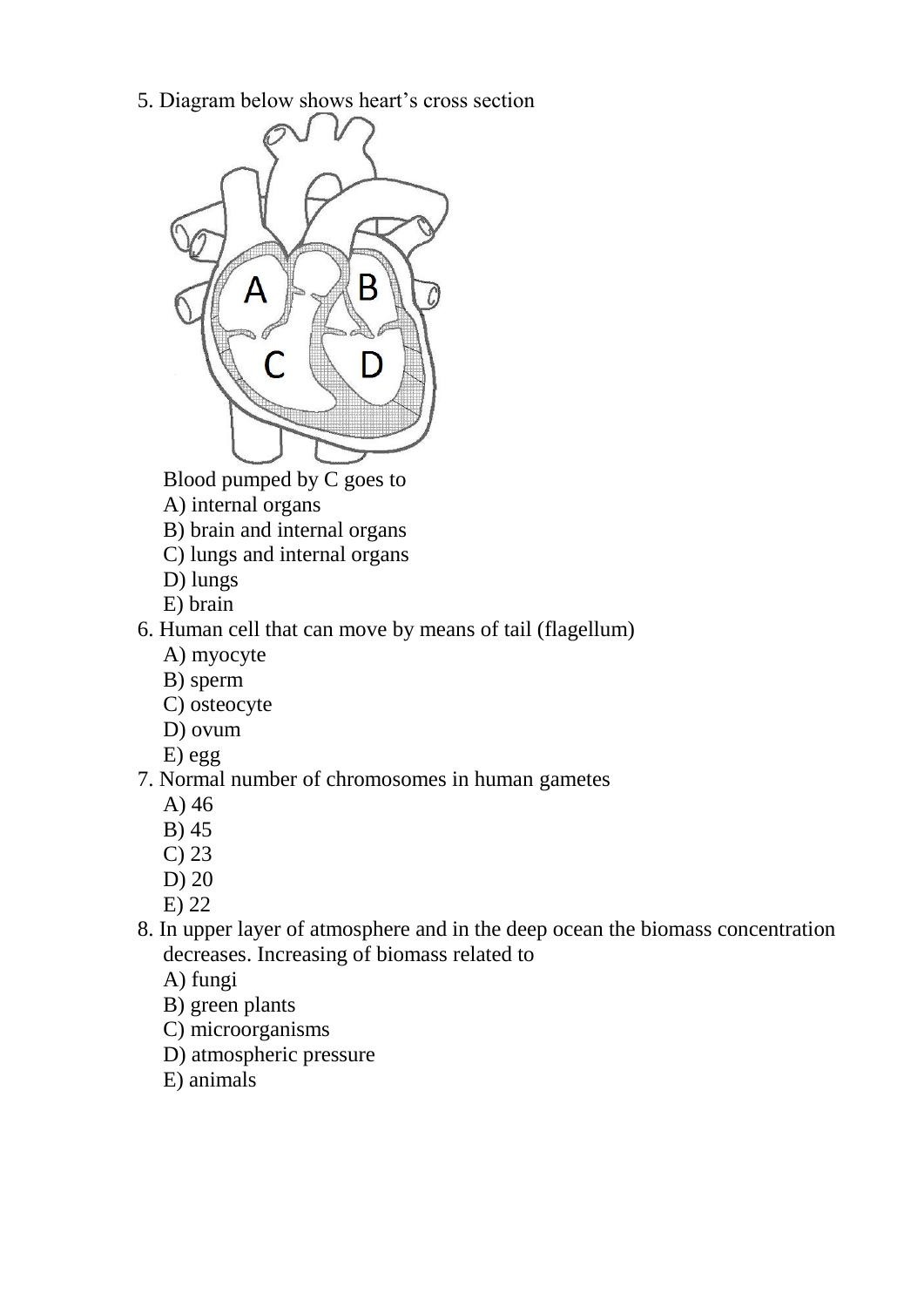5. Diagram below shows heart's cross section



Blood pumped by  $\overline{C}$  goes to

- A) internal organs
- B) brain and internal organs
- C) lungs and internal organs
- D) lungs
- E) brain
- 6. Human cell that can move by means of tail (flagellum)
	- A) myocyte
	- B) sperm
	- C) osteocyte
	- D) ovum
	- E) egg

## 7. Normal number of chromosomes in human gametes

- A) 46
- B) 45
- C) 23
- D) 20
- E) 22
- 8. In upper layer of atmosphere and in the deep ocean the biomass concentration decreases. Increasing of biomass related to
	- A) fungi
	- B) green plants
	- C) microorganisms
	- D) atmospheric pressure
	- E) animals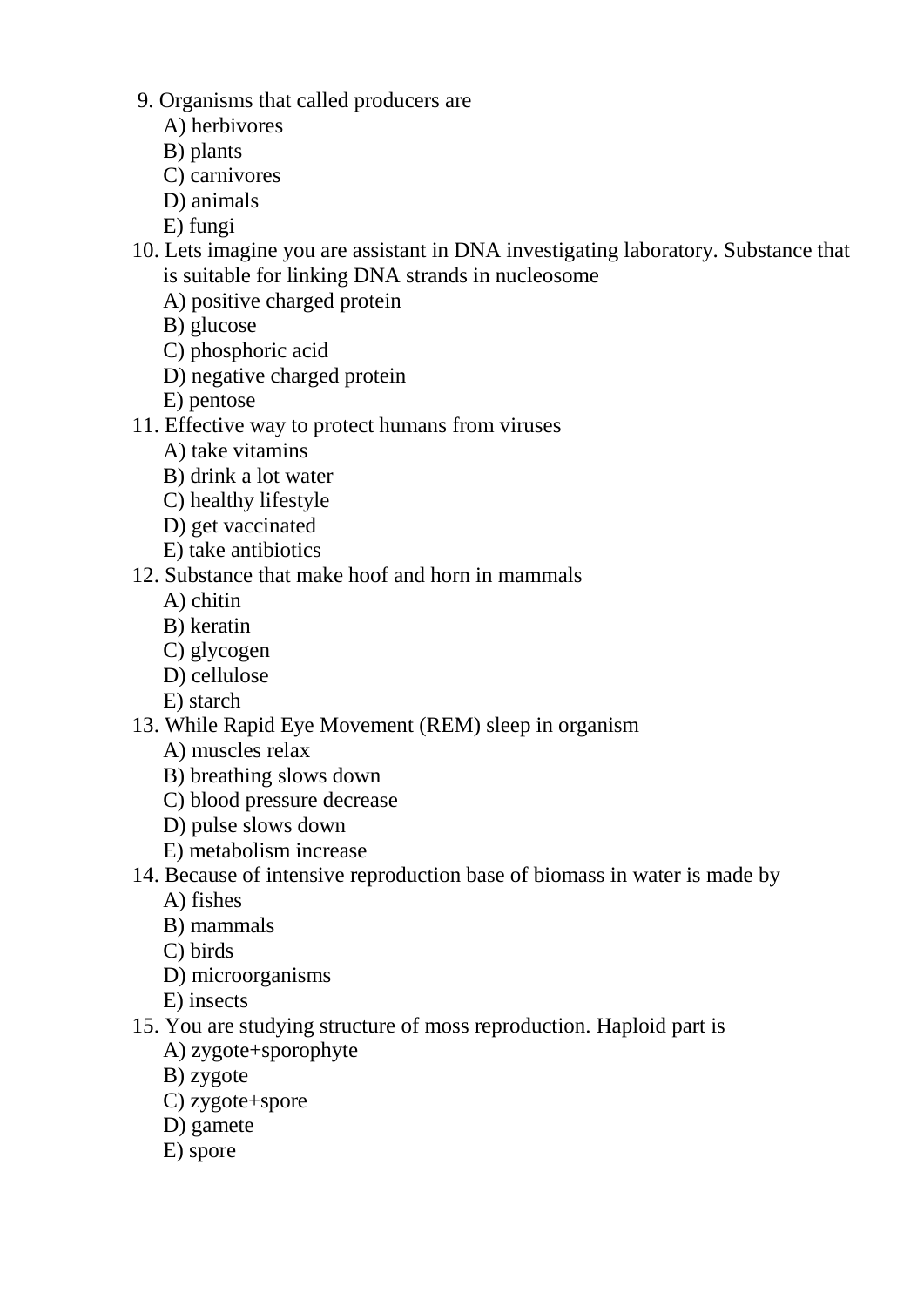- 9. Organisms that called producers are
	- A) herbivores
	- B) plants
	- C) carnivores
	- D) animals
	- E) fungi
- 10. Lets imagine you are assistant in DNA investigating laboratory. Substance that is suitable for linking DNA strands in nucleosome
	- A) positive charged protein
	- B) glucose
	- C) phosphoric acid
	- D) negative charged protein
	- E) pentose
- 11. Effective way to protect humans from viruses
	- A) take vitamins
	- B) drink a lot water
	- C) healthy lifestyle
	- D) get vaccinated
	- E) take antibiotics
- 12. Substance that make hoof and horn in mammals
	- A) chitin
	- B) keratin
	- C) glycogen
	- D) cellulose
	- E) starch
- 13. While Rapid Eye Movement (REM) sleep in organism
	- A) muscles relax
	- B) breathing slows down
	- C) blood pressure decrease
	- D) pulse slows down
	- E) metabolism increase
- 14. Because of intensive reproduction base of biomass in water is made by
	- A) fishes
	- B) mammals
	- C) birds
	- D) microorganisms
	- E) insects
- 15. You are studying structure of moss reproduction. Haploid part is
	- A) zygote+sporophyte
	- B) zygote
	- C) zygote+spore
	- D) gamete
	- E) spore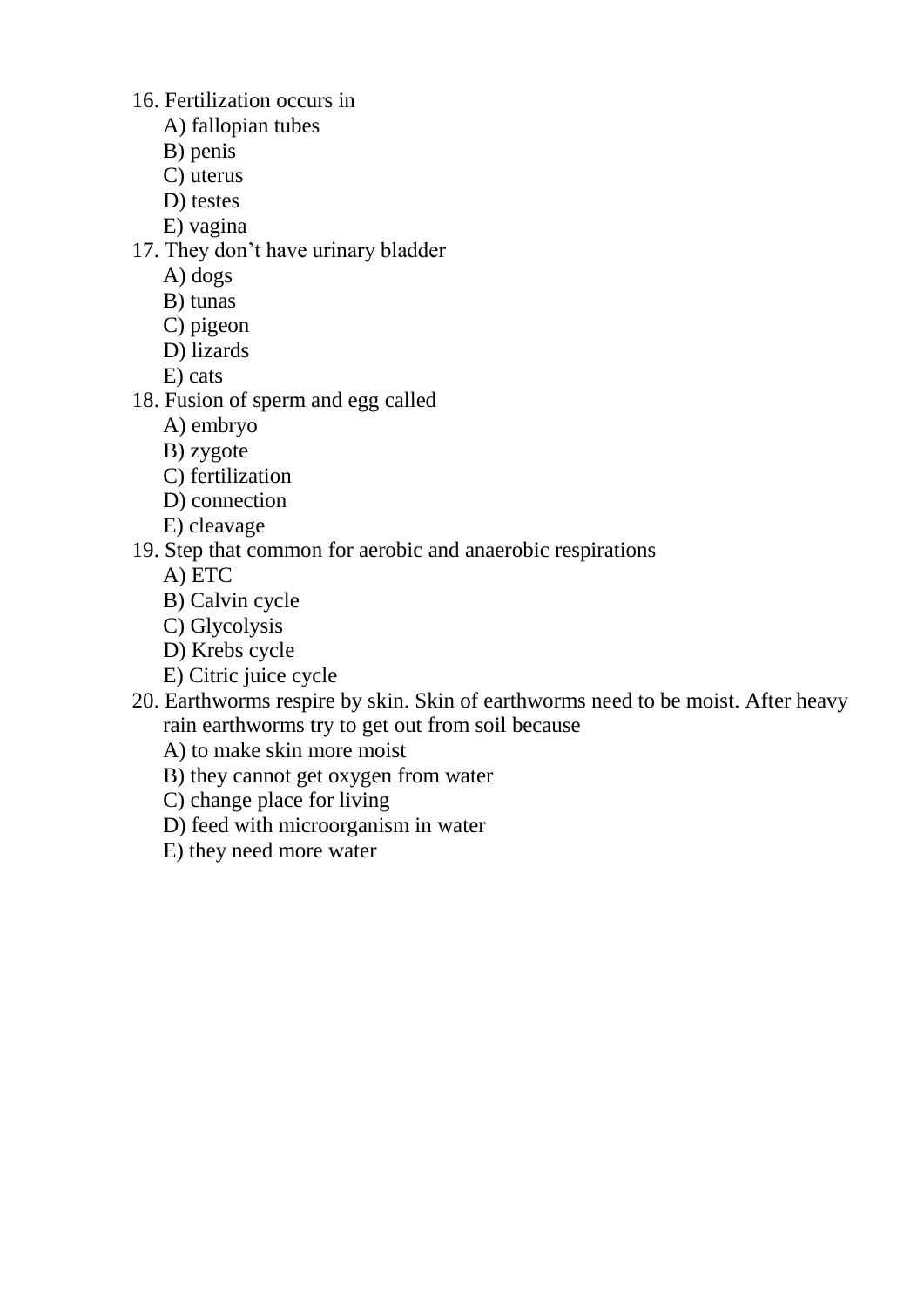16. Fertilization occurs in

- A) fallopian tubes
- B) penis
- C) uterus
- D) testes
- E) vagina
- 17. They don't have urinary bladder
	- A) dogs
	- B) tunas
	- C) pigeon
	- D) lizards
	- E) cats
- 18. Fusion of sperm and egg called
	- A) embryo
	- B) zygote
	- C) fertilization
	- D) connection
	- E) cleavage
- 19. Step that common for aerobic and anaerobic respirations
	- A) ETC
	- B) Calvin cycle
	- C) Glycolysis
	- D) Krebs cycle
	- E) Citric juice cycle
- 20. Earthworms respire by skin. Skin of earthworms need to be moist. After heavy rain earthworms try to get out from soil because
	- A) to make skin more moist
	- B) they cannot get oxygen from water
	- C) change place for living
	- D) feed with microorganism in water
	- E) they need more water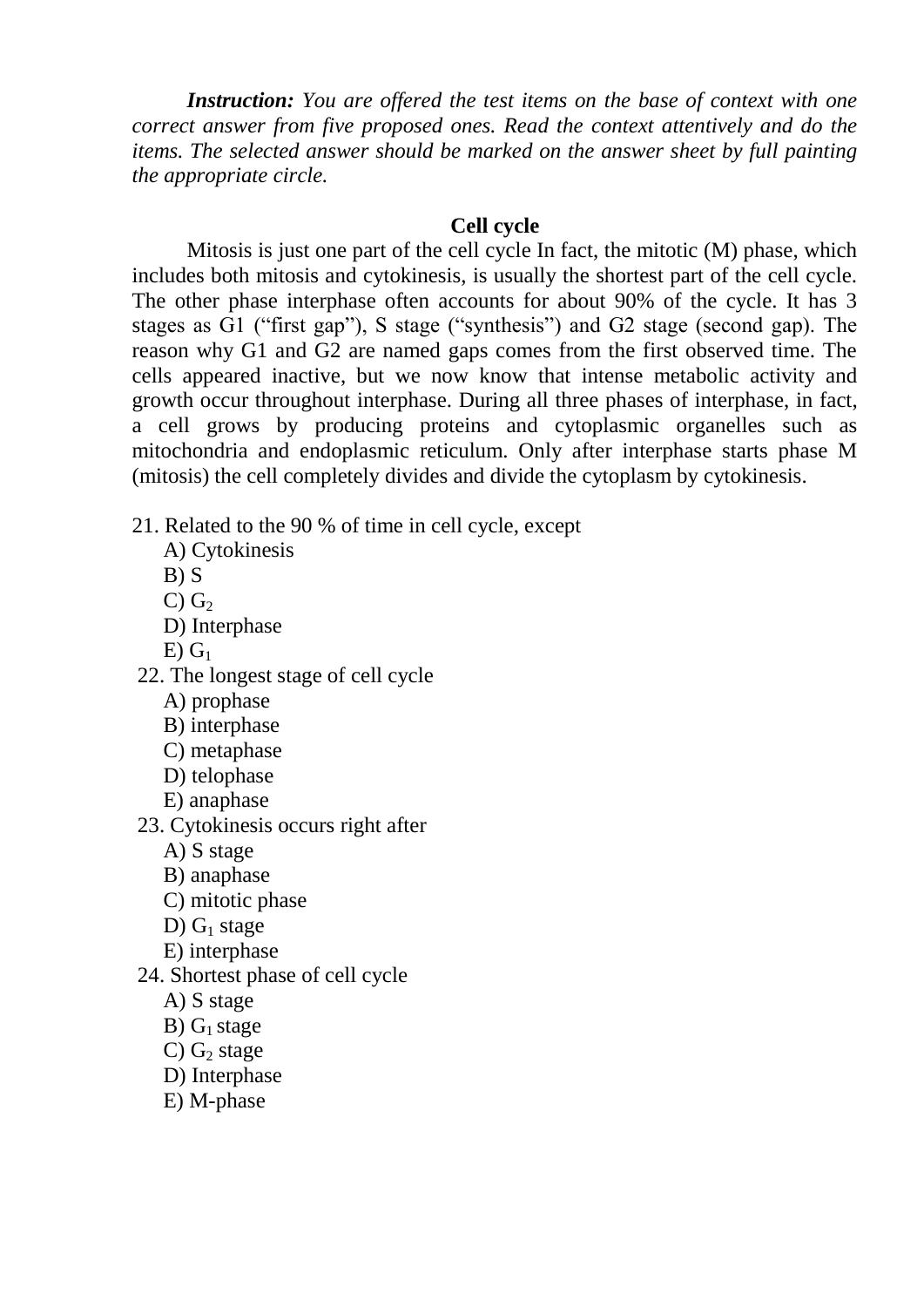*Instruction: You are offered the test items on the base of context with one correct answer from five proposed ones. Read the context attentively and do the items. The selected answer should be marked on the answer sheet by full painting the appropriate circle.*

## **Cell cycle**

Mitosis is just one part of the cell cycle In fact, the mitotic (M) phase, which includes both mitosis and cytokinesis, is usually the shortest part of the cell cycle. The other phase interphase often accounts for about 90% of the cycle. It has 3 stages as G1 ("first gap"), S stage ("synthesis") and G2 stage (second gap). The reason why G1 and G2 are named gaps comes from the first observed time. The cells appeared inactive, but we now know that intense metabolic activity and growth occur throughout interphase. During all three phases of interphase, in fact, a cell grows by producing proteins and cytoplasmic organelles such as mitochondria and endoplasmic reticulum. Only after interphase starts phase M (mitosis) the cell completely divides and divide the cytoplasm by cytokinesis.

- 21. Related to the 90 % of time in cell cycle, except
	- A) Cytokinesis
	- $B) S$
	- C)  $G_2$
	- D) Interphase
	- $E(G_1)$
- 22. The longest stage of cell cycle
	- A) prophase
	- B) interphase
	- C) metaphase
	- D) telophase
	- E) anaphase
- 23. Cytokinesis occurs right after
	- A) S stage
	- B) anaphase
	- C) mitotic phase
	- D)  $G_1$  stage
	- E) interphase
- 24. Shortest phase of cell cycle
	- A) S stage
	- B)  $G_1$  stage
	- $C$ )  $G<sub>2</sub>$  stage
	- D) Interphase
	- E) M-phase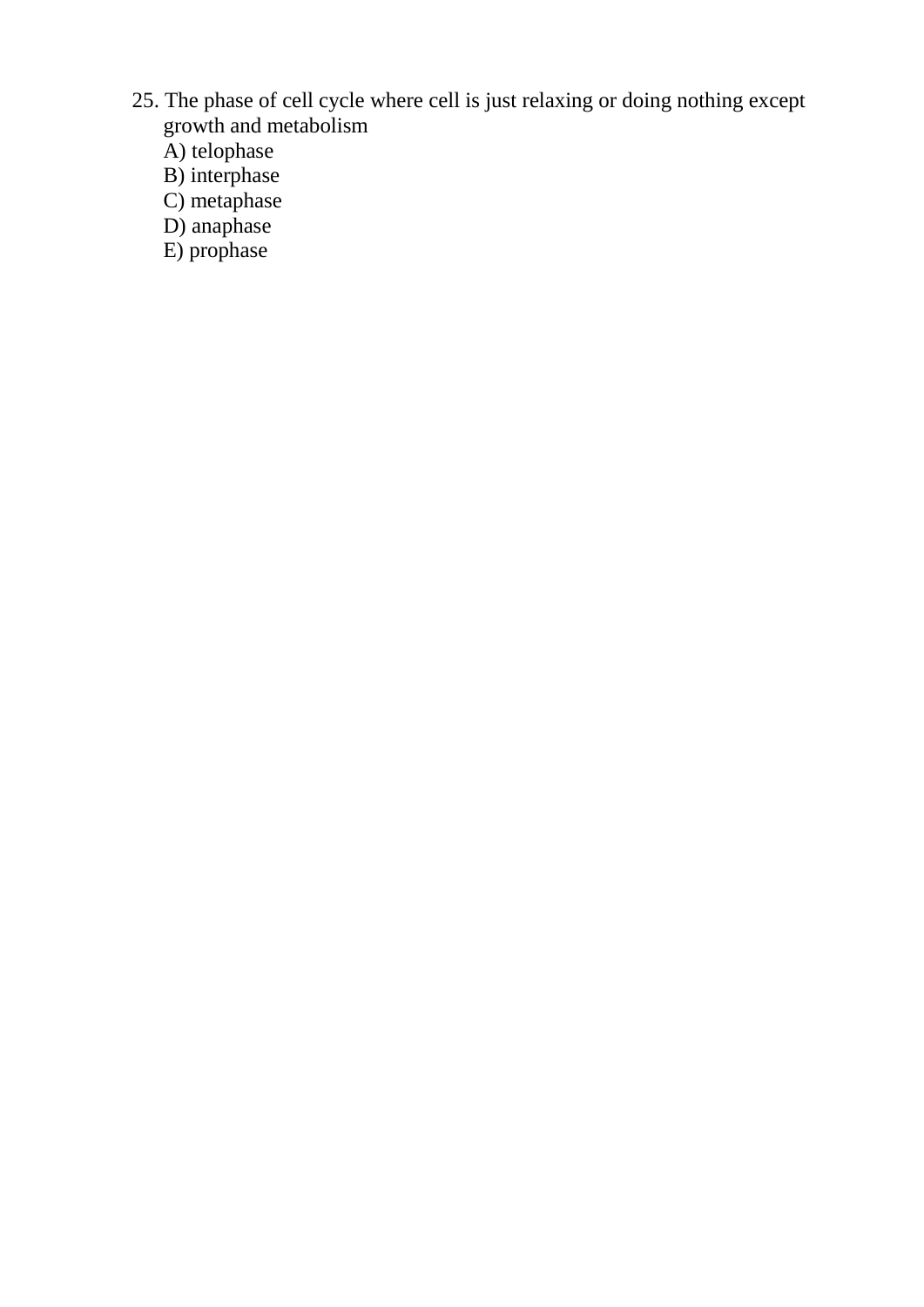- 25. The phase of cell cycle where cell is just relaxing or doing nothing except growth and metabolism
	- A) telophase
	- B) interphase
	- C) metaphase
	- D) anaphase
	- E) prophase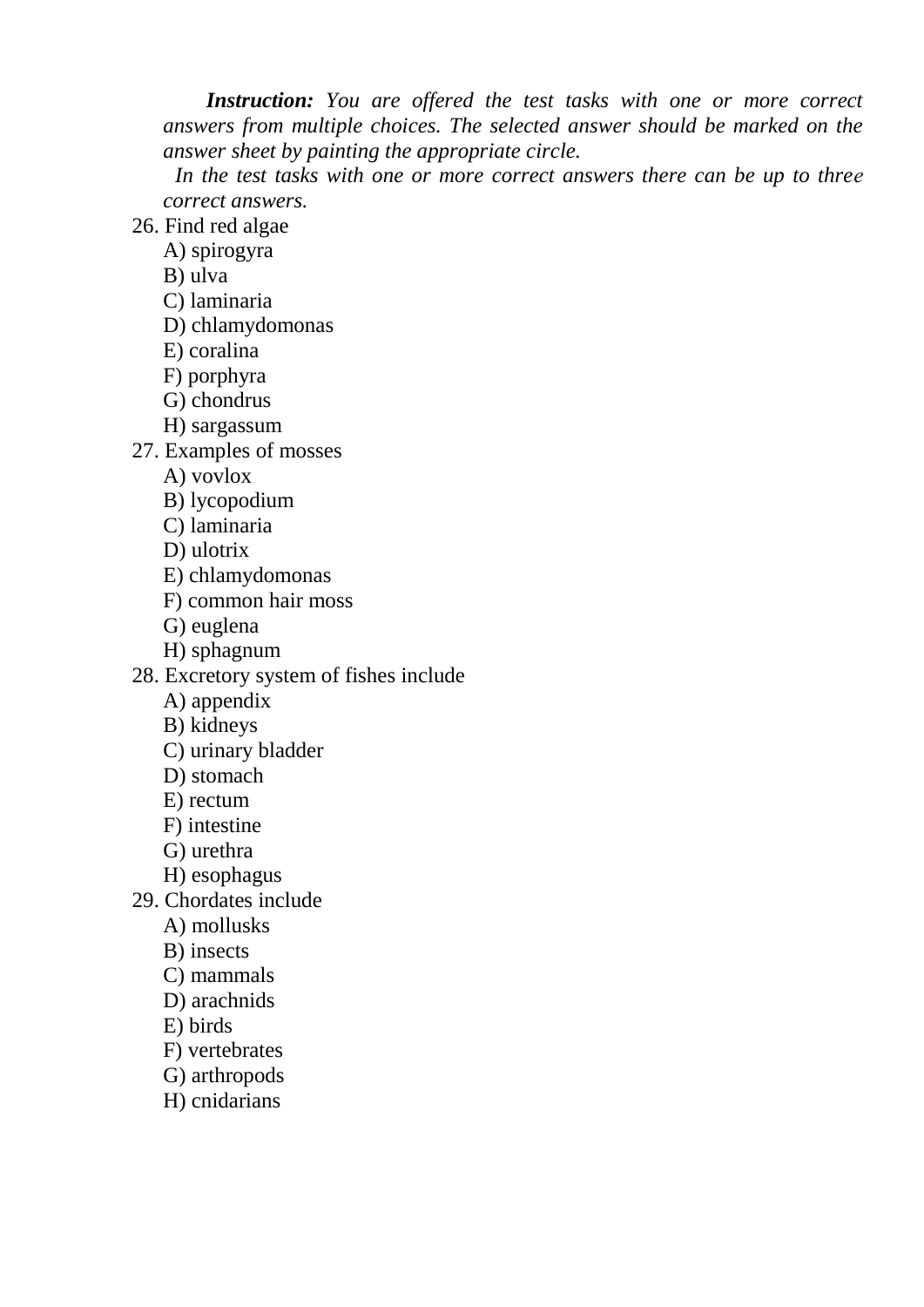*Instruction: You are offered the test tasks with one or more correct answers from multiple choices. The selected answer should be marked on the answer sheet by painting the appropriate circle.*

 *In the test tasks with one or more correct answers there can be up to threе correct answers.*

26. Find red algae

A) spirogyra

B) ulva

- C) laminaria
- D) chlamydomonas
- E) coralina
- F) porphyra
- G) chondrus
- H) sargassum
- 27. Examples of mosses
	- A) vovlox
	- B) lycopodium
	- C) laminaria
	- D) ulotrix
	- E) chlamydomonas
	- F) common hair moss
	- G) euglena
	- H) sphagnum
- 28. Excretory system of fishes include
	- A) appendix
	- B) kidneys
	- C) urinary bladder
	- D) stomach
	- E) rectum
	- F) intestine
	- G) urethra
	- H) esophagus
- 29. Chordates include
	- A) mollusks
	- B) insects
	- C) mammals
	- D) arachnids
	- E) birds
	- F) vertebrates
	- G) arthropods
	- H) cnidarians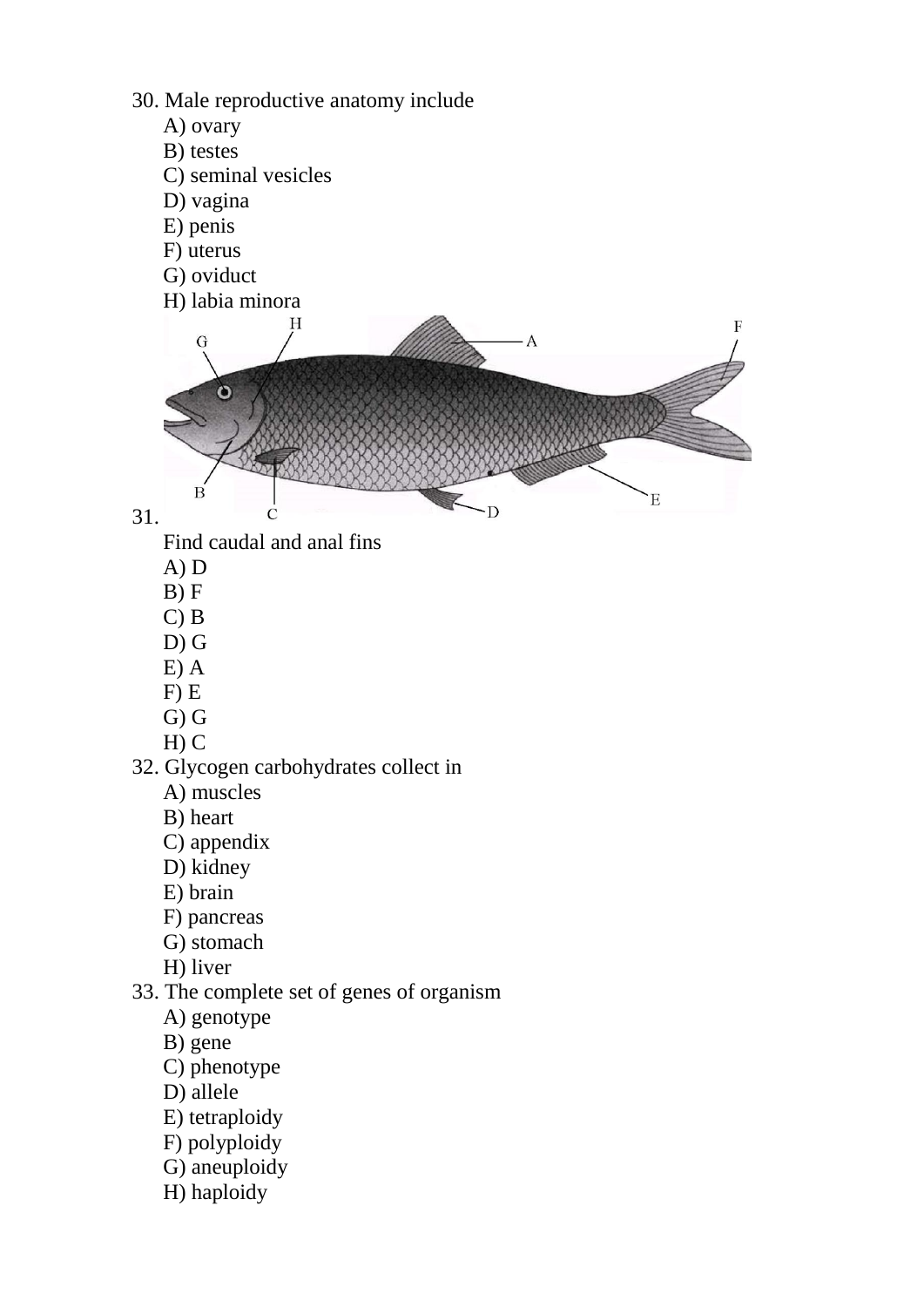